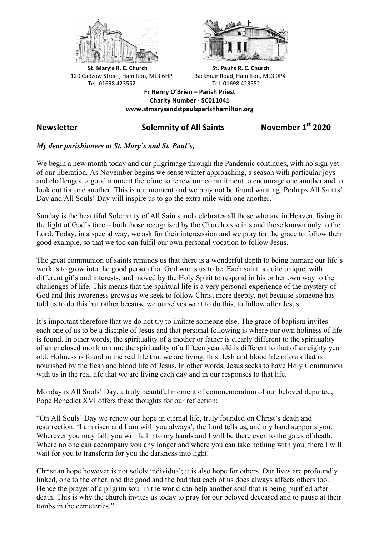



**St.** Mary's R. C. Church St. Paul's R. C. Church 120 Cadzow Street, Hamilton, ML3 6HP Backmuir Road, Hamilton, ML3 0PX Tel: 01698 423552 Tel: 01698 423552

**Fr Henry O'Brien – Parish Priest Charity Number - SC011041 www.stmarysandstpaulsparishhamilton.org**

# **Newsletter Solemnity of All Saints November 1st 2020**

## *My dear parishioners at St. Mary's and St. Paul's,*

We begin a new month today and our pilgrimage through the Pandemic continues, with no sign yet of our liberation. As November begins we sense winter approaching, a season with particular joys and challenges, a good moment therefore to renew our commitment to encourage one another and to look out for one another. This is our moment and we pray not be found wanting. Perhaps All Saints' Day and All Souls' Day will inspire us to go the extra mile with one another.

Sunday is the beautiful Solemnity of All Saints and celebrates all those who are in Heaven, living in the light of God's face – both those recognised by the Church as saints and those known only to the Lord. Today, in a special way, we ask for their intercession and we pray for the grace to follow their good example, so that we too can fulfil our own personal vocation to follow Jesus.

The great communion of saints reminds us that there is a wonderful depth to being human; our life's work is to grow into the good person that God wants us to be. Each saint is quite unique, with different gifts and interests, and moved by the Holy Spirit to respond in his or her own way to the challenges of life. This means that the spiritual life is a very personal experience of the mystery of God and this awareness grows as we seek to follow Christ more deeply, not because someone has told us to do this but rather because we ourselves want to do this, to follow after Jesus.

It's important therefore that we do not try to imitate someone else. The grace of baptism invites each one of us to be a disciple of Jesus and that personal following is where our own holiness of life is found. In other words, the spirituality of a mother or father is clearly different to the spirituality of an enclosed monk or nun; the spirituality of a fifteen year old is different to that of an eighty year old. Holiness is found in the real life that we are living, this flesh and blood life of ours that is nourished by the flesh and blood life of Jesus. In other words, Jesus seeks to have Holy Communion with us in the real life that we are living each day and in our responses to that life.

Monday is All Souls' Day, a truly beautiful moment of commemoration of our beloved departed; Pope Benedict XVI offers these thoughts for our reflection:

"On All Souls' Day we renew our hope in eternal life, truly founded on Christ's death and resurrection. 'I am risen and I am with you always', the Lord tells us, and my hand supports you. Wherever you may fall, you will fall into my hands and I will be there even to the gates of death. Where no one can accompany you any longer and where you can take nothing with you, there I will wait for you to transform for you the darkness into light.

Christian hope however is not solely individual; it is also hope for others. Our lives are profoundly linked, one to the other, and the good and the bad that each of us does always affects others too. Hence the prayer of a pilgrim soul in the world can help another soul that is being purified after death. This is why the church invites us today to pray for our beloved deceased and to pause at their tombs in the cemeteries."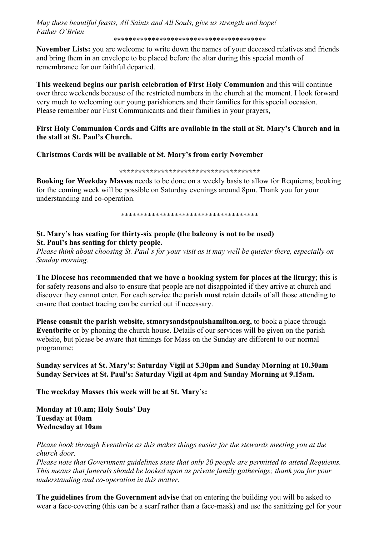*May these beautiful feasts, All Saints and All Souls, give us strength and hope! Father O'Brien*

\*\*\*\*\*\*\*\*\*\*\*\*\*\*\*\*\*\*\*\*\*\*\*\*\*\*\*\*\*\*\*\*\*\*\*\*\*\*\*\*

**November Lists:** you are welcome to write down the names of your deceased relatives and friends and bring them in an envelope to be placed before the altar during this special month of remembrance for our faithful departed.

**This weekend begins our parish celebration of First Holy Communion** and this will continue over three weekends because of the restricted numbers in the church at the moment. I look forward very much to welcoming our young parishioners and their families for this special occasion. Please remember our First Communicants and their families in your prayers,

#### **First Holy Communion Cards and Gifts are available in the stall at St. Mary's Church and in the stall at St. Paul's Church.**

#### **Christmas Cards will be available at St. Mary's from early November**

**\*\*\*\*\*\*\*\*\*\*\*\*\*\*\*\*\*\*\*\*\*\*\*\*\*\*\*\*\*\*\*\*\*\*\*\*\***

**Booking for Weekday Masses** needs to be done on a weekly basis to allow for Requiems; booking for the coming week will be possible on Saturday evenings around 8pm. Thank you for your understanding and co-operation.

\*\*\*\*\*\*\*\*\*\*\*\*\*\*\*\*\*\*\*\*\*\*\*\*\*\*\*\*\*\*\*\*\*\*\*\*

# **St. Mary's has seating for thirty-six people (the balcony is not to be used) St. Paul's has seating for thirty people.**

*Please think about choosing St. Paul's for your visit as it may well be quieter there, especially on Sunday morning.*

**The Diocese has recommended that we have a booking system for places at the liturgy**; this is for safety reasons and also to ensure that people are not disappointed if they arrive at church and discover they cannot enter. For each service the parish **must** retain details of all those attending to ensure that contact tracing can be carried out if necessary.

**Please consult the parish website, stmarysandstpaulshamilton.org,** to book a place through **Eventbrite** or by phoning the church house. Details of our services will be given on the parish website, but please be aware that timings for Mass on the Sunday are different to our normal programme:

## **Sunday services at St. Mary's: Saturday Vigil at 5.30pm and Sunday Morning at 10.30am Sunday Services at St. Paul's: Saturday Vigil at 4pm and Sunday Morning at 9.15am.**

**The weekday Masses this week will be at St. Mary's:**

**Monday at 10.am; Holy Souls' Day Tuesday at 10am Wednesday at 10am**

*Please book through Eventbrite as this makes things easier for the stewards meeting you at the church door.*

*Please note that Government guidelines state that only 20 people are permitted to attend Requiems. This means that funerals should be looked upon as private family gatherings; thank you for your understanding and co-operation in this matter.*

**The guidelines from the Government advise** that on entering the building you will be asked to wear a face-covering (this can be a scarf rather than a face-mask) and use the sanitizing gel for your